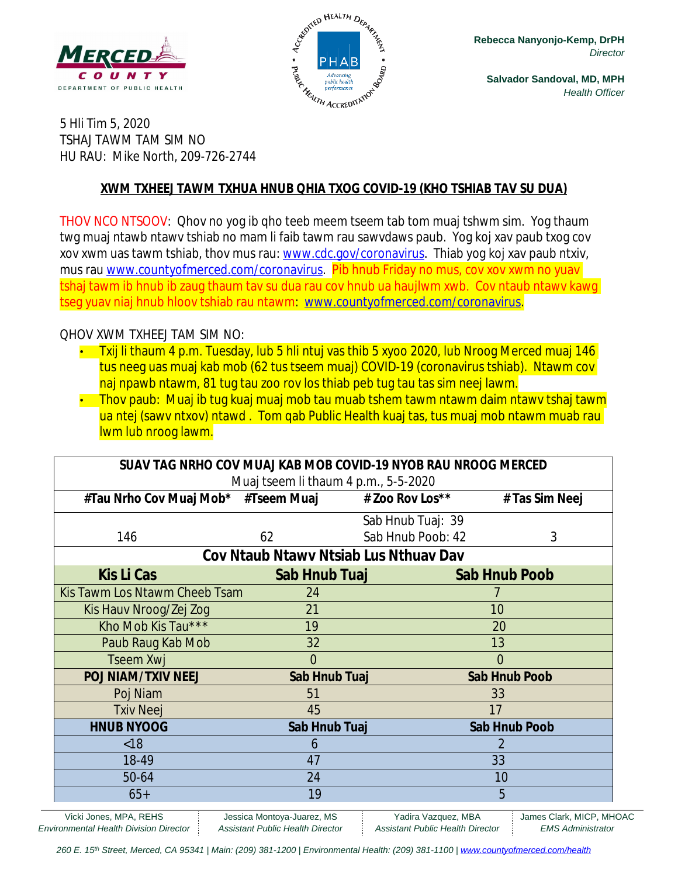



**Salvador Sandoval, MD, MPH** *Health Officer*

5 Hli Tim 5, 2020 TSHAJ TAWM TAM SIM NO HU RAU: Mike North, 209-726-2744

#### **XWM TXHEEJ TAWM TXHUA HNUB QHIA TXOG COVID-19 (KHO TSHIAB TAV SU DUA)**

THOV NCO NTSOOV: Qhov no yog ib qho teeb meem tseem tab tom muaj tshwm sim. Yog thaum twg muaj ntawb ntawv tshiab no mam li faib tawm rau sawvdaws paub. Yog koj xav paub txog cov xov xwm uas tawm tshiab, thov mus rau: [www.cdc.gov/coronavirus](http://www.cdc.gov/coronavirus). Thiab yog koj xav paub ntxiv, mus rau [www.countyofmerced.com/coronavirus.](http://www.countyofmerced.com/coronavirus) Pib hnub Friday no mus, cov xov xwm no yuav tshaj tawm ib hnub ib zaug thaum tav su dua rau cov hnub ua haujlwm xwb. Cov ntaub ntawv kawg tseg yuav niaj hnub hloov tshiab rau ntawm: [www.countyofmerced.com/coronavirus](http://www.countyofmerced.com/coronavirus).

#### QHOV XWM TXHEEJ TAM SIM NO:

- Txij li thaum 4 p.m. Tuesday, lub 5 hli ntuj vas thib 5 xyoo 2020, lub Nroog Merced muaj 146 tus neeg uas muaj kab mob (62 tus tseem muaj) COVID-19 (coronavirus tshiab). Ntawm cov naj npawb ntawm, 81 tug tau zoo rov los thiab peb tug tau tas sim neej lawm.
- Thov paub: Muaj ib tug kuaj muaj mob tau muab tshem tawm ntawm daim ntawy tshaj tawm ua ntej (sawy ntxov) ntawd . Tom qab Public Health kuaj tas, tus muaj mob ntawm muab rau lwm lub nroog lawm.

| SUAV TAG NRHO COV MUAJ KAB MOB COVID-19 NYOB RAU NROOG MERCED |                |                   |                      |
|---------------------------------------------------------------|----------------|-------------------|----------------------|
| Muaj tseem li thaum 4 p.m., 5-5-2020                          |                |                   |                      |
| #Tau Nrho Cov Muaj Mob* #Tseem Muaj # Zoo Rov Los**           |                |                   | # Tas Sim Neej       |
|                                                               |                | Sab Hnub Tuaj: 39 |                      |
| 146                                                           | 62             | Sab Hnub Poob: 42 | 3                    |
| Cov Ntaub Ntawy Ntsiab Lus Nthuay Dav                         |                |                   |                      |
| <b>Kis Li Cas</b>                                             | Sab Hnub Tuaj  |                   | <b>Sab Hnub Poob</b> |
| Kis Tawm Los Ntawm Cheeb Tsam                                 | 24             |                   |                      |
| Kis Hauv Nroog/Zej Zog                                        | 21             |                   | 10                   |
| Kho Mob Kis Tau***                                            | 19             |                   | 20                   |
| Paub Raug Kab Mob                                             | 32             |                   | 13                   |
| <b>Tseem Xwj</b>                                              | $\overline{0}$ |                   | 0                    |
| <b>POJ NIAM/TXIV NEEJ</b>                                     | Sab Hnub Tuaj  |                   | <b>Sab Hnub Poob</b> |
| Poj Niam                                                      | 51             |                   | 33                   |
| <b>Txiv Neej</b>                                              | 45             |                   | 17                   |
| <b>HNUB NYOOG</b>                                             | Sab Hnub Tuaj  |                   | <b>Sab Hnub Poob</b> |
| < 18                                                          | 6              |                   |                      |
| 18-49                                                         | 47             |                   | 33                   |
| 50-64                                                         | 24             |                   | 10                   |
| $65+$                                                         | 19             |                   | 5                    |

Vicki Jones, MPA, REHS Jessica Montoya-Juarez, MS | Yadira Vazquez, MBA | James Clark, MICP, MHOAC *Environmental Health Division Director Assistant Public Health Director Assistant Public Health Director EMS Administrator*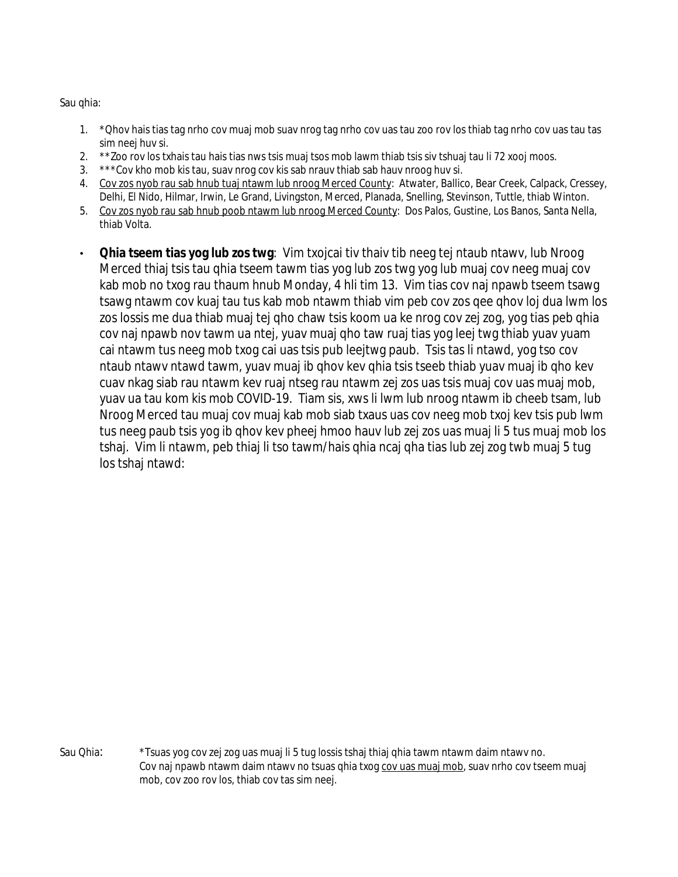Sau qhia:

- 1. \*Qhov hais tias tag nrho cov muaj mob suav nrog tag nrho cov uas tau zoo rov los thiab tag nrho cov uas tau tas sim neej huv si.
- 2. \*\*Zoo rov los txhais tau hais tias nws tsis muaj tsos mob lawm thiab tsis siv tshuaj tau li 72 xooj moos.
- 3. \*\*\*Cov kho mob kis tau, suav nrog cov kis sab nrauv thiab sab hauv nroog huv si.
- 4. Cov zos nyob rau sab hnub tuaj ntawm lub nroog Merced County: Atwater, Ballico, Bear Creek, Calpack, Cressey, Delhi, El Nido, Hilmar, Irwin, Le Grand, Livingston, Merced, Planada, Snelling, Stevinson, Tuttle, thiab Winton.
- 5. Cov zos nyob rau sab hnub poob ntawm lub nroog Merced County: Dos Palos, Gustine, Los Banos, Santa Nella, thiab Volta.
- **Qhia tseem tias yog lub zos twg**: Vim txojcai tiv thaiv tib neeg tej ntaub ntawv, lub Nroog Merced thiaj tsis tau qhia tseem tawm tias yog lub zos twg yog lub muaj cov neeg muaj cov kab mob no txog rau thaum hnub Monday, 4 hli tim 13. Vim tias cov naj npawb tseem tsawg tsawg ntawm cov kuaj tau tus kab mob ntawm thiab vim peb cov zos qee qhov loj dua lwm los zos lossis me dua thiab muaj tej qho chaw tsis koom ua ke nrog cov zej zog, yog tias peb qhia cov naj npawb nov tawm ua ntej, yuav muaj qho taw ruaj tias yog leej twg thiab yuav yuam cai ntawm tus neeg mob txog cai uas tsis pub leejtwg paub. Tsis tas li ntawd, yog tso cov ntaub ntawv ntawd tawm, yuav muaj ib qhov kev qhia tsis tseeb thiab yuav muaj ib qho kev cuav nkag siab rau ntawm kev ruaj ntseg rau ntawm zej zos uas tsis muaj cov uas muaj mob, yuav ua tau kom kis mob COVID-19. Tiam sis, xws li lwm lub nroog ntawm ib cheeb tsam, lub Nroog Merced tau muaj cov muaj kab mob siab txaus uas cov neeg mob txoj kev tsis pub lwm tus neeg paub tsis yog ib qhov kev pheej hmoo hauv lub zej zos uas muaj li 5 tus muaj mob los tshaj. Vim li ntawm, peb thiaj li tso tawm/hais qhia ncaj qha tias lub zej zog twb muaj 5 tug los tshaj ntawd:

Sau Qhia: \*Tsuas yog cov zej zog uas muaj li 5 tug lossis tshaj thiaj qhia tawm ntawm daim ntawv no. Cov naj npawb ntawm daim ntawv no tsuas qhia txoq cov uas muaj mob, suav nrho cov tseem muaj mob, cov zoo rov los, thiab cov tas sim neej.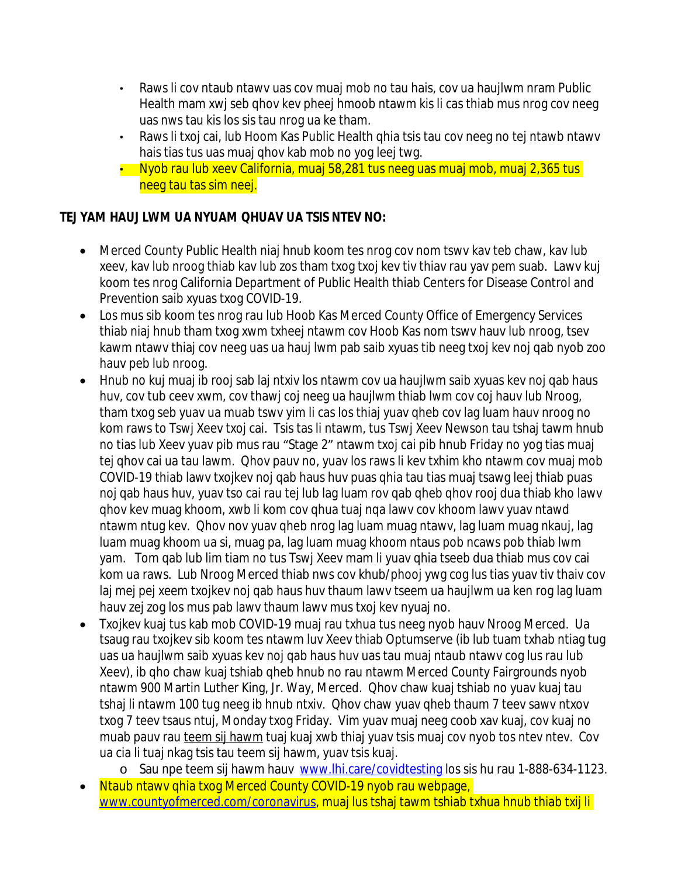- Raws li cov ntaub ntawv uas cov muaj mob no tau hais, cov ua haujlwm nram Public Health mam xwj seb qhov kev pheej hmoob ntawm kis li cas thiab mus nrog cov neeg uas nws tau kis los sis tau nrog ua ke tham.
- Raws li txoj cai, lub Hoom Kas Public Health qhia tsis tau cov neeg no tej ntawb ntawv hais tias tus uas muaj qhov kab mob no yog leej twg.
- Nyob rau lub xeev California, muaj 58,281 tus neeg uas muaj mob, muaj 2,365 tus neeg tau tas sim neej.

### **TEJ YAM HAUJ LWM UA NYUAM QHUAV UA TSIS NTEV NO:**

- Merced County Public Health niaj hnub koom tes nrog cov nom tswv kav teb chaw, kav lub xeev, kav lub nroog thiab kav lub zos tham txog txoj kev tiv thiav rau yav pem suab. Lawv kuj koom tes nrog California Department of Public Health thiab Centers for Disease Control and Prevention saib xyuas txog COVID-19.
- Los mus sib koom tes nrog rau lub Hoob Kas Merced County Office of Emergency Services thiab niaj hnub tham txog xwm txheej ntawm cov Hoob Kas nom tswv hauv lub nroog, tsev kawm ntawv thiaj cov neeg uas ua hauj lwm pab saib xyuas tib neeg txoj kev noj qab nyob zoo hauv peb lub nroog.
- Hnub no kuj muaj ib rooj sab laj ntxiv los ntawm cov ua haujlwm saib xyuas kev noj qab haus huv, cov tub ceev xwm, cov thawj coj neeg ua haujlwm thiab lwm cov coj hauv lub Nroog, tham txog seb yuav ua muab tswv yim li cas los thiaj yuav qheb cov lag luam hauv nroog no kom raws to Tswj Xeev txoj cai. Tsis tas li ntawm, tus Tswj Xeev Newson tau tshaj tawm hnub no tias lub Xeev yuav pib mus rau "Stage 2" ntawm txoj cai pib hnub Friday no yog tias muaj tej qhov cai ua tau lawm. Qhov pauv no, yuav los raws li kev txhim kho ntawm cov muaj mob COVID-19 thiab lawv txojkev noj qab haus huv puas qhia tau tias muaj tsawg leej thiab puas noj qab haus huv, yuav tso cai rau tej lub lag luam rov qab qheb qhov rooj dua thiab kho lawv qhov kev muag khoom, xwb li kom cov qhua tuaj nqa lawv cov khoom lawv yuav ntawd ntawm ntug kev. Qhov nov yuav qheb nrog lag luam muag ntawv, lag luam muag nkauj, lag luam muag khoom ua si, muag pa, lag luam muag khoom ntaus pob ncaws pob thiab lwm yam. Tom qab lub lim tiam no tus Tswj Xeev mam li yuav qhia tseeb dua thiab mus cov cai kom ua raws. Lub Nroog Merced thiab nws cov khub/phooj ywg cog lus tias yuav tiv thaiv cov laj mej pej xeem txojkev noj qab haus huv thaum lawv tseem ua haujlwm ua ken rog lag luam hauv zej zog los mus pab lawv thaum lawv mus txoj kev nyuaj no.
- Txojkev kuaj tus kab mob COVID-19 muaj rau txhua tus neeg nyob hauv Nroog Merced. Ua tsaug rau txojkev sib koom tes ntawm luv Xeev thiab Optumserve (ib lub tuam txhab ntiag tug uas ua haujlwm saib xyuas kev noj qab haus huv uas tau muaj ntaub ntawv cog lus rau lub Xeev), ib qho chaw kuaj tshiab qheb hnub no rau ntawm Merced County Fairgrounds nyob ntawm 900 Martin Luther King, Jr. Way, Merced. Qhov chaw kuaj tshiab no yuav kuaj tau tshaj li ntawm 100 tug neeg ib hnub ntxiv. Qhov chaw yuav qheb thaum 7 teev sawv ntxov txog 7 teev tsaus ntuj, Monday txog Friday. Vim yuav muaj neeg coob xav kuaj, cov kuaj no muab pauv rau teem sij hawm tuaj kuaj xwb thiaj yuav tsis muaj cov nyob tos ntev ntev. Cov ua cia li tuaj nkag tsis tau teem sij hawm, yuav tsis kuaj.
	- o Sau npe teem sij hawm hauv [www.lhi.care/covidtesting](http://www.lhi.care/covidtesting) los sis hu rau 1-888-634-1123.
- Ntaub ntawv qhia txog Merced County COVID-19 nyob rau webpage, [www.countyofmerced.com/coronavirus](http://www.countyofmerced.com/coronavirus), muaj lus tshaj tawm tshiab txhua hnub thiab txij li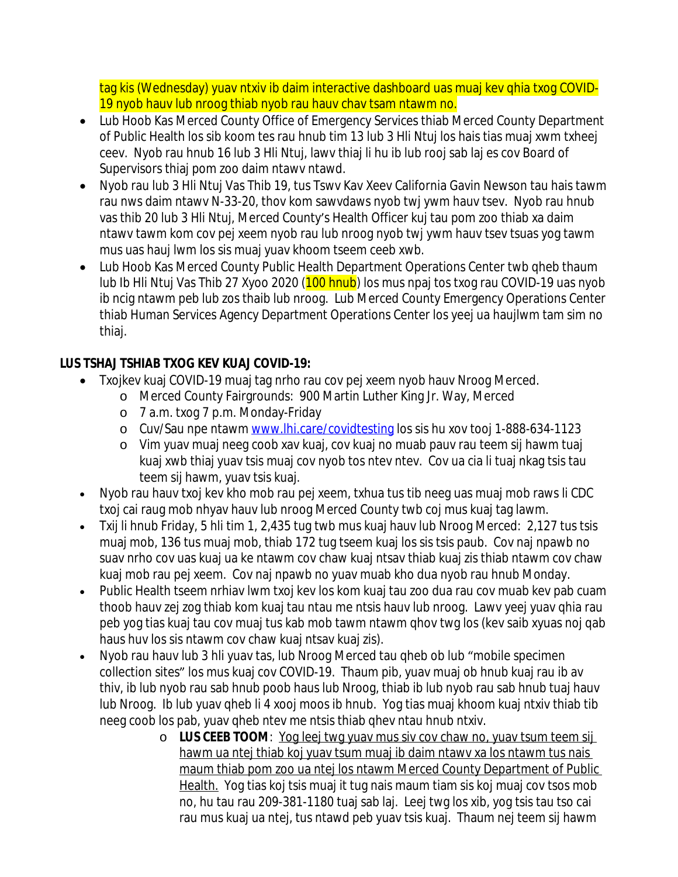tag kis (Wednesday) yuav ntxiv ib daim interactive dashboard uas muaj kev qhia txog COVID-19 nyob hauv lub nroog thiab nyob rau hauv chav tsam ntawm no.

- Lub Hoob Kas Merced County Office of Emergency Services thiab Merced County Department of Public Health los sib koom tes rau hnub tim 13 lub 3 Hli Ntuj los hais tias muaj xwm txheej ceev. Nyob rau hnub 16 lub 3 Hli Ntuj, lawv thiaj li hu ib lub rooj sab laj es cov Board of Supervisors thiaj pom zoo daim ntawv ntawd.
- Nyob rau lub 3 Hli Ntuj Vas Thib 19, tus Tswv Kav Xeev California Gavin Newson tau hais tawm rau nws daim ntawv N-33-20, thov kom sawvdaws nyob twj ywm hauv tsev. Nyob rau hnub vas thib 20 lub 3 Hli Ntuj, Merced County's Health Officer kuj tau pom zoo thiab xa daim ntawv tawm kom cov pej xeem nyob rau lub nroog nyob twj ywm hauv tsev tsuas yog tawm mus uas hauj lwm los sis muaj yuav khoom tseem ceeb xwb.
- Lub Hoob Kas Merced County Public Health Department Operations Center twb qheb thaum lub Ib Hli Ntuj Vas Thib 27 Xyoo 2020 (100 hnub) los mus npaj tos txog rau COVID-19 uas nyob ib ncig ntawm peb lub zos thaib lub nroog. Lub Merced County Emergency Operations Center thiab Human Services Agency Department Operations Center los yeej ua haujlwm tam sim no thiaj.

## **LUS TSHAJ TSHIAB TXOG KEV KUAJ COVID-19:**

- Txojkev kuaj COVID-19 muaj tag nrho rau cov pej xeem nyob hauv Nroog Merced.
	- o Merced County Fairgrounds: 900 Martin Luther King Jr. Way, Merced
		- o 7 a.m. txog 7 p.m. Monday-Friday
		- o Cuv/Sau npe ntawm [www.lhi.care/covidtesting](http://www.lhi.care/covidtesting) los sis hu xov tooj 1-888-634-1123
		- o Vim yuav muaj neeg coob xav kuaj, cov kuaj no muab pauv rau teem sij hawm tuaj kuaj xwb thiaj yuav tsis muaj cov nyob tos ntev ntev. Cov ua cia li tuaj nkag tsis tau teem sij hawm, yuav tsis kuaj.
- Nyob rau hauv txoj kev kho mob rau pej xeem, txhua tus tib neeg uas muaj mob raws li CDC txoj cai raug mob nhyav hauv lub nroog Merced County twb coj mus kuaj tag lawm.
- Txij li hnub Friday, 5 hli tim 1, 2,435 tug twb mus kuaj hauv lub Nroog Merced: 2,127 tus tsis muaj mob, 136 tus muaj mob, thiab 172 tug tseem kuaj los sis tsis paub. Cov naj npawb no suav nrho cov uas kuaj ua ke ntawm cov chaw kuaj ntsav thiab kuaj zis thiab ntawm cov chaw kuaj mob rau pej xeem. Cov naj npawb no yuav muab kho dua nyob rau hnub Monday.
- Public Health tseem nrhiav lwm txoj kev los kom kuaj tau zoo dua rau cov muab kev pab cuam thoob hauv zej zog thiab kom kuaj tau ntau me ntsis hauv lub nroog. Lawv yeej yuav qhia rau peb yog tias kuaj tau cov muaj tus kab mob tawm ntawm qhov twg los (kev saib xyuas noj qab haus huv los sis ntawm cov chaw kuaj ntsav kuaj zis).
- Nyob rau hauv lub 3 hli yuav tas, lub Nroog Merced tau qheb ob lub "mobile specimen collection sites" los mus kuaj cov COVID-19. Thaum pib, yuav muaj ob hnub kuaj rau ib av thiv, ib lub nyob rau sab hnub poob haus lub Nroog, thiab ib lub nyob rau sab hnub tuaj hauv lub Nroog. Ib lub yuav qheb li 4 xooj moos ib hnub. Yog tias muaj khoom kuaj ntxiv thiab tib neeg coob los pab, yuav qheb ntev me ntsis thiab qhev ntau hnub ntxiv.
	- o **LUS CEEB TOOM**: Yog leej twg yuav mus siv cov chaw no, yuav tsum teem sij hawm ua ntej thiab koj yuav tsum muaj ib daim ntawv xa los ntawm tus nais maum thiab pom zoo ua ntej los ntawm Merced County Department of Public Health. Yog tias koj tsis muaj it tug nais maum tiam sis koj muaj cov tsos mob no, hu tau rau 209-381-1180 tuaj sab laj. Leej twg los xib, yog tsis tau tso cai rau mus kuaj ua ntej, tus ntawd peb yuav tsis kuaj. Thaum nej teem sij hawm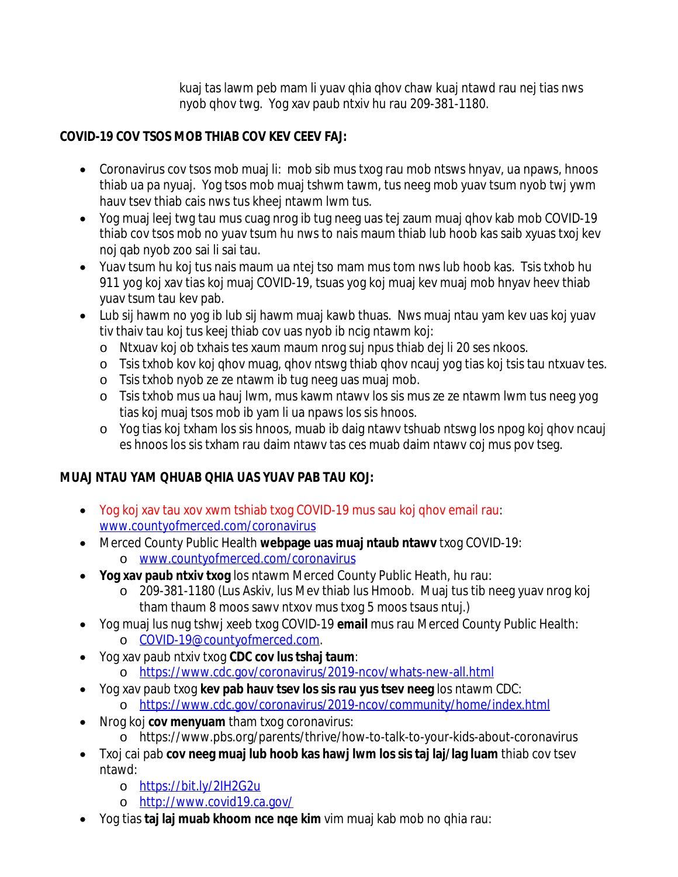kuaj tas lawm peb mam li yuav qhia qhov chaw kuaj ntawd rau nej tias nws nyob qhov twg. Yog xav paub ntxiv hu rau 209-381-1180.

## **COVID-19 COV TSOS MOB THIAB COV KEV CEEV FAJ:**

- Coronavirus cov tsos mob muaj li: mob sib mus txog rau mob ntsws hnyav, ua npaws, hnoos thiab ua pa nyuaj. Yog tsos mob muaj tshwm tawm, tus neeg mob yuav tsum nyob twj ywm hauv tsev thiab cais nws tus kheej ntawm lwm tus.
- Yog muaj leej twg tau mus cuag nrog ib tug neeg uas tej zaum muaj qhov kab mob COVID-19 thiab cov tsos mob no yuav tsum hu nws to nais maum thiab lub hoob kas saib xyuas txoj kev noj qab nyob zoo sai li sai tau.
- Yuav tsum hu koj tus nais maum ua ntej tso mam mus tom nws lub hoob kas. Tsis txhob hu 911 yog koj xav tias koj muaj COVID-19, tsuas yog koj muaj kev muaj mob hnyav heev thiab yuav tsum tau kev pab.
- Lub sij hawm no yog ib lub sij hawm muaj kawb thuas. Nws muaj ntau yam kev uas koj yuav tiv thaiv tau koj tus keej thiab cov uas nyob ib ncig ntawm koj:
	- o Ntxuav koj ob txhais tes xaum maum nrog suj npus thiab dej li 20 ses nkoos.
	- o Tsis txhob kov koj qhov muag, qhov ntswg thiab qhov ncauj yog tias koj tsis tau ntxuav tes.
	- o Tsis txhob nyob ze ze ntawm ib tug neeg uas muaj mob.
	- o Tsis txhob mus ua hauj lwm, mus kawm ntawv los sis mus ze ze ntawm lwm tus neeg yog tias koj muaj tsos mob ib yam li ua npaws los sis hnoos.
	- o Yog tias koj txham los sis hnoos, muab ib daig ntawv tshuab ntswg los npog koj qhov ncauj es hnoos los sis txham rau daim ntawv tas ces muab daim ntawv coj mus pov tseg.

# **MUAJ NTAU YAM QHUAB QHIA UAS YUAV PAB TAU KOJ:**

- Yog koj xav tau xov xwm tshiab txog COVID-19 mus sau koj qhov email rau: [www.countyofmerced.com/coronavirus](http://www.countyofmerced.com/coronavirus)
- Merced County Public Health **webpage uas muaj ntaub ntawv** txog COVID-19: o [www.countyofmerced.com/coronavirus](http://www.countyofmerced.com/coronavirus)
- **Yog xav paub ntxiv txog** los ntawm Merced County Public Heath, hu rau:
	- o 209-381-1180 (Lus Askiv, lus Mev thiab lus Hmoob. Muaj tus tib neeg yuav nrog koj tham thaum 8 moos sawv ntxov mus txog 5 moos tsaus ntuj.)
- Yog muaj lus nug tshwj xeeb txog COVID-19 **email** mus rau Merced County Public Health: o [COVID-19@countyofmerced.com.](mailto:COVID-19@countyofmerced.com)
- Yog xav paub ntxiv txog **CDC cov lus tshaj taum**:
	- o <https://www.cdc.gov/coronavirus/2019-ncov/whats-new-all.html>
- Yog xav paub txog **kev pab hauv tsev los sis rau yus tsev neeg** los ntawm CDC: o <https://www.cdc.gov/coronavirus/2019-ncov/community/home/index.html>
- Nrog koj **cov menyuam** tham txog coronavirus:
	- o https://www.pbs.org/parents/thrive/how-to-talk-to-your-kids-about-coronavirus
- Txoj cai pab **cov neeg muaj lub hoob kas hawj lwm los sis taj laj/lag luam** thiab cov tsev ntawd:
	- o <https://bit.ly/2IH2G2u>
	- o <http://www.covid19.ca.gov/>
- Yog tias **taj laj muab khoom nce nqe kim** vim muaj kab mob no qhia rau: